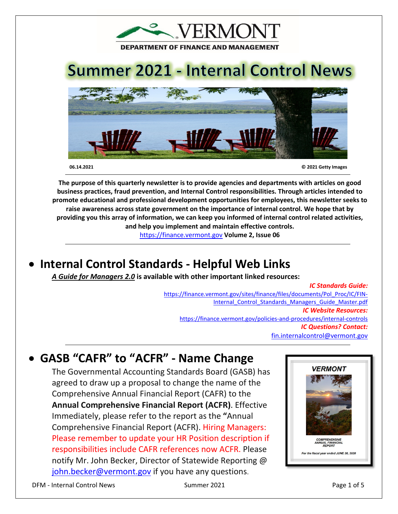

 **06.14.2021 © 2021 Getty Images**

**The purpose of this quarterly newsletter is to provide agencies and departments with articles on good business practices, fraud prevention, and Internal Control responsibilities. Through articles intended to promote educational and professional development opportunities for employees, this newsletter seeks to raise awareness across state government on the importance of internal control. We hope that by providing you this array of information, we can keep you informed of internal control related activities, and help you implement and maintain effective controls.** 

[https://finance.vermont.gov](https://finance.vermont.gov/) **Volume 2, Issue 06**

# • **Internal Control Standards - Helpful Web Links**

*A Guide for Managers 2.0* **is available with other important linked resources:** 

#### *IC Standards Guide:*

[https://finance.vermont.gov/sites/finance/files/documents/Pol\\_Proc/IC/FIN-](https://finance.vermont.gov/sites/finance/files/documents/Pol_Proc/IC/FIN-Internal_Control_Standards_Managers_Guide_Master.pdf)Internal Control Standards Managers Guide Master.pdf *IC Website Resources:*  <https://finance.vermont.gov/policies-and-procedures/internal-controls> *IC Questions? Contact:* [fin.internalcontrol@vermont.gov](mailto:fin.internalcontrol@vermont.gov)

# • **GASB "CAFR" to "ACFR" - Name Change**

The Governmental Accounting Standards Board (GASB) has agreed to draw up a proposal to change the name of the Comprehensive Annual Financial Report (CAFR) to the **Annual Comprehensive Financial Report (ACFR)**. Effective Immediately, please refer to the report as the **"**Annual Comprehensive Financial Report (ACFR). Hiring Managers: Please remember to update your HR Position description if responsibilities include CAFR references now ACFR. Please notify Mr. John Becker, Director of Statewide Reporting @ [john.becker@vermont.gov](mailto:John.Becker@vermont.gov) if you have any questions.

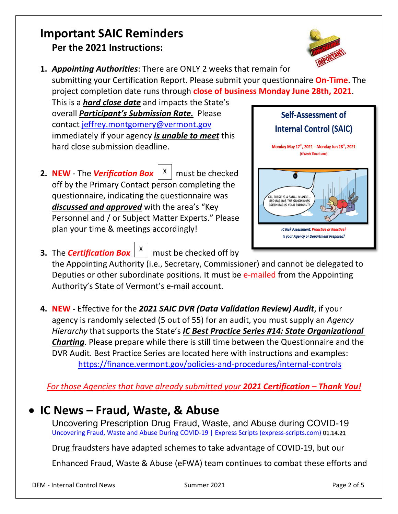### **Important SAIC Reminders Per the 2021 Instructions:**



**1.** *Appointing Authorities*: There are ONLY 2 weeks that remain for submitting your Certification Report. Please submit your questionnaire **On-Time**. The project completion date runs through **close of business Monday June 28th, 2021**.

This is a *hard close date* and impacts the State's overall *Participant's Submission Rate.* Please contact [jeffrey.montgomery@vermont.gov](mailto:Jeffrey.Montgomery@vermont.gov) immediately if your agency *is unable to meet* this hard close submission deadline.

**2. NEW** - The *Verification Box*  $\begin{bmatrix} x \end{bmatrix}$  must be checked off by the Primary Contact person completing the questionnaire, indicating the questionnaire was *discussed and approved* with the area's "Key Personnel and / or Subject Matter Experts." Please plan your time & meetings accordingly!



- **3.** The *Certification Box*  $\begin{bmatrix} x \\ y \end{bmatrix}$  must be checked off by the Appointing Authority (i.e., Secretary, Commissioner) and cannot be delegated to Deputies or other subordinate positions. It must be e-mailed from the Appointing Authority's State of Vermont's e-mail account.
- **4. NEW -** Effective for the *2021 SAIC DVR (Data Validation Review) Audit*, if your agency is randomly selected (5 out of 55) for an audit, you must supply an *Agency Hierarchy* that supports the State's *IC Best Practice Series [#14: State Organizational](https://finance.vermont.gov/sites/finance/files/documents/Pol_Proc/IC/BestPractice%20%2314%20State%20Org%20Chart.pdf)  [Charting](https://finance.vermont.gov/sites/finance/files/documents/Pol_Proc/IC/BestPractice%20%2314%20State%20Org%20Chart.pdf)*. Please prepare while there is still time between the Questionnaire and the DVR Audit. Best Practice Series are located here with instructions and examples: <https://finance.vermont.gov/policies-and-procedures/internal-controls>

*For those Agencies that have already submitted your 2021 Certification – Thank You!*

## • **IC News – Fraud, Waste, & Abuse**

Uncovering Prescription Drug Fraud, Waste, and Abuse during COVID-19 [Uncovering Fraud, Waste and Abuse During COVID-19 | Express Scripts \(express-scripts.com\)](https://www.express-scripts.com/corporate/index.php/articles/uncovering-fraud-waste-and-abuse-during-covid-19) 01.14.21

Drug fraudsters have adapted schemes to take advantage of COVID-19, but our

Enhanced Fraud, Waste & Abuse (eFWA) team continues to combat these efforts and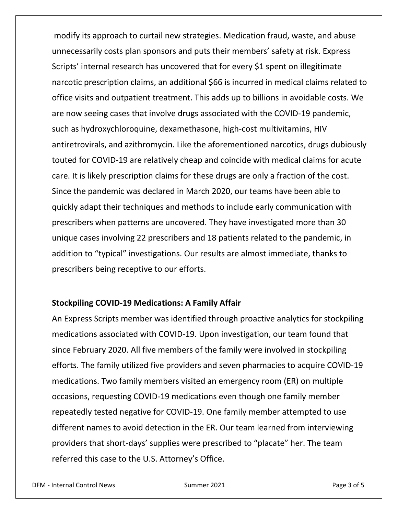modify its approach to curtail new strategies. Medication fraud, waste, and abuse unnecessarily costs plan sponsors and puts their members' safety at risk. Express Scripts' internal research has uncovered that for every \$1 spent on illegitimate narcotic prescription claims, an additional \$66 is incurred in medical claims related to office visits and outpatient treatment. This adds up to billions in avoidable costs. We are now seeing cases that involve drugs associated with the COVID-19 pandemic, such as hydroxychloroquine, dexamethasone, high-cost multivitamins, HIV antiretrovirals, and azithromycin. Like the aforementioned narcotics, drugs dubiously touted for COVID-19 are relatively cheap and coincide with medical claims for acute care. It is likely prescription claims for these drugs are only a fraction of the cost. Since the pandemic was declared in March 2020, our teams have been able to quickly adapt their techniques and methods to include early communication with prescribers when patterns are uncovered. They have investigated more than 30 unique cases involving 22 prescribers and 18 patients related to the pandemic, in addition to "typical" investigations. Our results are almost immediate, thanks to prescribers being receptive to our efforts.

#### **Stockpiling COVID-19 Medications: A Family Affair**

An Express Scripts member was identified through proactive analytics for stockpiling medications associated with COVID-19. Upon investigation, our team found that since February 2020. All five members of the family were involved in stockpiling efforts. The family utilized five providers and seven pharmacies to acquire COVID-19 medications. Two family members visited an emergency room (ER) on multiple occasions, requesting COVID-19 medications even though one family member repeatedly tested negative for COVID-19. One family member attempted to use different names to avoid detection in the ER. Our team learned from interviewing providers that short-days' supplies were prescribed to "placate" her. The team referred this case to the U.S. Attorney's Office.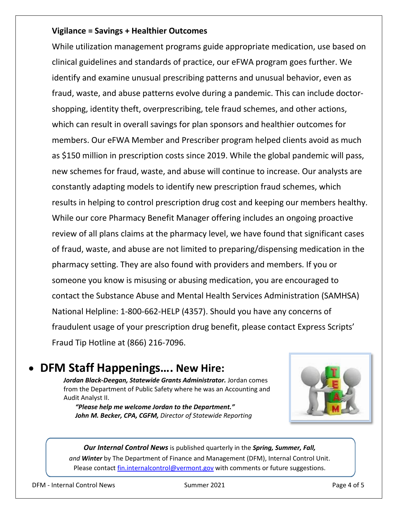#### **Vigilance = Savings + Healthier Outcomes**

While utilization management programs guide appropriate medication, use based on clinical guidelines and standards of practice, our eFWA program goes further. We identify and examine unusual prescribing patterns and unusual behavior, even as fraud, waste, and abuse patterns evolve during a pandemic. This can include doctorshopping, identity theft, overprescribing, tele fraud schemes, and other actions, which can result in overall savings for plan sponsors and healthier outcomes for members. Our eFWA Member and Prescriber program helped clients avoid as much as \$150 million in prescription costs since 2019. While the global pandemic will pass, new schemes for fraud, waste, and abuse will continue to increase. Our analysts are constantly adapting models to identify new prescription fraud schemes, which results in helping to control prescription drug cost and keeping our members healthy. While our core Pharmacy Benefit Manager offering includes an ongoing proactive review of all plans claims at the pharmacy level, we have found that significant cases of fraud, waste, and abuse are not limited to preparing/dispensing medication in the pharmacy setting. They are also found with providers and members. If you or someone you know is misusing or abusing medication, you are encouraged to contact the [Substance Abuse and Mental Health Services Administration](https://www.samhsa.gov/find-help/national-helpline) (SAMHSA) National Helpline: 1-800-662-HELP (4357). Should you have any concerns of fraudulent usage of your prescription drug benefit, please contact Express Scripts' Fraud Tip Hotline at (866) 216-7096.

### • **DFM Staff Happenings…. New Hire:**

*Jordan Black-Deegan, Statewide Grants Administrator.* Jordan comes from the Department of Public Safety where he was an Accounting and Audit Analyst II.

*"Please help me welcome Jordan to the Department." John M. Becker, CPA, CGFM, Director of Statewide Reporting*



*Our Internal Control News* is published quarterly in the *Spring, Summer, Fall, and Winter* by The Department of Finance and Management (DFM), Internal Control Unit. Please contac[t fin.internalcontrol@vermont.gov](mailto:fin.internalcontrol@vermont.gov) with comments or future suggestions.

DFM - Internal Control News Summer 2021 Page 4 of 5